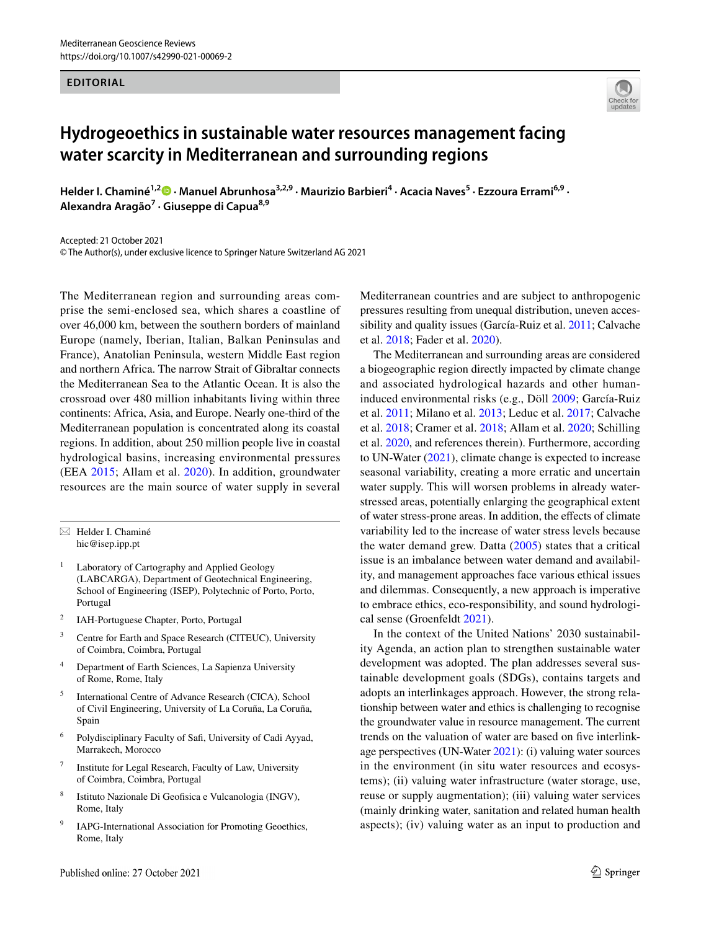## **EDITORIAL**



## **Hydrogeoethics in sustainable water resources management facing water scarcity in Mediterranean and surrounding regions**

**Helder I. Chaminé1,2  [·](https://orcid.org/0000-0002-9740-935X) Manuel Abrunhosa3,2,9 · Maurizio Barbieri4 · Acacia Naves<sup>5</sup> · Ezzoura Errami6,9 · Alexandra Aragão7 · Giuseppe di Capua8,9**

Accepted: 21 October 2021 © The Author(s), under exclusive licence to Springer Nature Switzerland AG 2021

The Mediterranean region and surrounding areas comprise the semi-enclosed sea, which shares a coastline of over 46,000 km, between the southern borders of mainland Europe (namely, Iberian, Italian, Balkan Peninsulas and France), Anatolian Peninsula, western Middle East region and northern Africa. The narrow Strait of Gibraltar connects the Mediterranean Sea to the Atlantic Ocean. It is also the crossroad over 480 million inhabitants living within three continents: Africa, Asia, and Europe. Nearly one-third of the Mediterranean population is concentrated along its coastal regions. In addition, about 250 million people live in coastal hydrological basins, increasing environmental pressures (EEA [2015](#page-2-0); Allam et al. [2020\)](#page-2-1). In addition, groundwater resources are the main source of water supply in several

 $\boxtimes$  Helder I. Chaminé hic@isep.ipp.pt

- <sup>1</sup> Laboratory of Cartography and Applied Geology (LABCARGA), Department of Geotechnical Engineering, School of Engineering (ISEP), Polytechnic of Porto, Porto, Portugal
- <sup>2</sup> IAH-Portuguese Chapter, Porto, Portugal
- <sup>3</sup> Centre for Earth and Space Research (CITEUC), University of Coimbra, Coimbra, Portugal
- <sup>4</sup> Department of Earth Sciences, La Sapienza University of Rome, Rome, Italy
- <sup>5</sup> International Centre of Advance Research (CICA), School of Civil Engineering, University of La Coruña, La Coruña, Spain
- <sup>6</sup> Polydisciplinary Faculty of Saf, University of Cadi Ayyad, Marrakech, Morocco
- Institute for Legal Research, Faculty of Law, University of Coimbra, Coimbra, Portugal
- <sup>8</sup> Istituto Nazionale Di Geofsica e Vulcanologia (INGV), Rome, Italy
- <sup>9</sup> IAPG-International Association for Promoting Geoethics, Rome, Italy

Mediterranean countries and are subject to anthropogenic pressures resulting from unequal distribution, uneven accessibility and quality issues (García-Ruiz et al. [2011;](#page-2-2) Calvache et al. [2018](#page-2-3); Fader et al. [2020](#page-2-4)).

The Mediterranean and surrounding areas are considered a biogeographic region directly impacted by climate change and associated hydrological hazards and other humaninduced environmental risks (e.g., Döll [2009](#page-2-5); García-Ruiz et al. [2011](#page-2-2); Milano et al. [2013](#page-3-0); Leduc et al. [2017](#page-3-1); Calvache et al. [2018](#page-2-3); Cramer et al. [2018;](#page-2-6) Allam et al. [2020;](#page-2-1) Schilling et al. [2020,](#page-3-2) and references therein). Furthermore, according to UN-Water [\(2021\)](#page-3-3), climate change is expected to increase seasonal variability, creating a more erratic and uncertain water supply. This will worsen problems in already waterstressed areas, potentially enlarging the geographical extent of water stress-prone areas. In addition, the efects of climate variability led to the increase of water stress levels because the water demand grew. Datta ([2005](#page-2-7)) states that a critical issue is an imbalance between water demand and availability, and management approaches face various ethical issues and dilemmas. Consequently, a new approach is imperative to embrace ethics, eco-responsibility, and sound hydrological sense (Groenfeldt [2021](#page-2-8)).

In the context of the United Nations' 2030 sustainability Agenda, an action plan to strengthen sustainable water development was adopted. The plan addresses several sustainable development goals (SDGs), contains targets and adopts an interlinkages approach. However, the strong relationship between water and ethics is challenging to recognise the groundwater value in resource management. The current trends on the valuation of water are based on fve interlinkage perspectives (UN-Water [2021](#page-3-3)): (i) valuing water sources in the environment (in situ water resources and ecosystems); (ii) valuing water infrastructure (water storage, use, reuse or supply augmentation); (iii) valuing water services (mainly drinking water, sanitation and related human health aspects); (iv) valuing water as an input to production and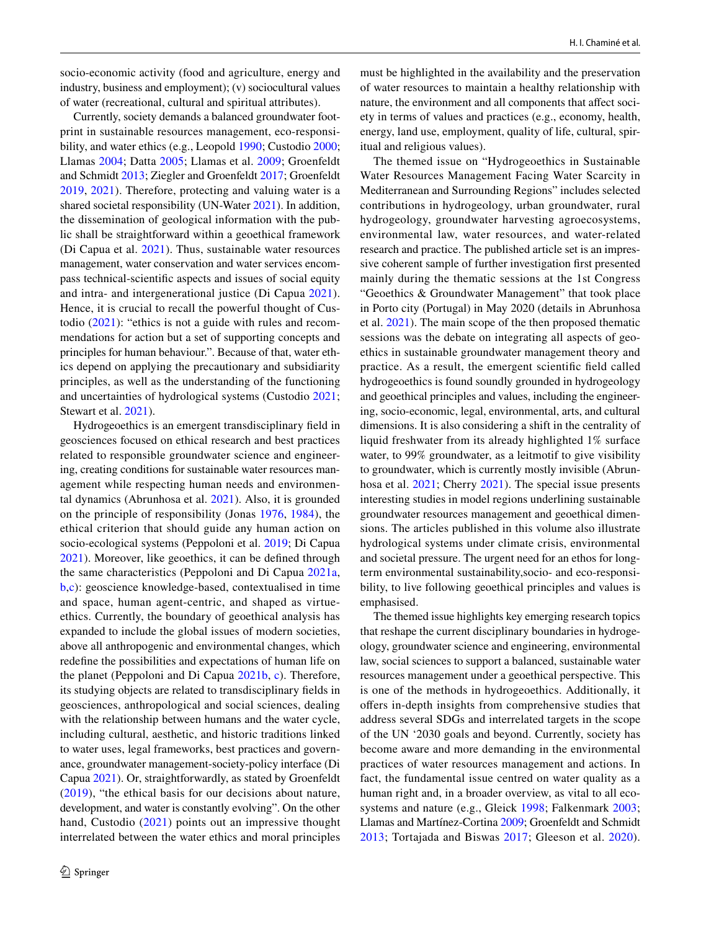socio-economic activity (food and agriculture, energy and industry, business and employment); (v) sociocultural values of water (recreational, cultural and spiritual attributes).

Currently, society demands a balanced groundwater footprint in sustainable resources management, eco-responsibility, and water ethics (e.g., Leopold [1990;](#page-3-4) Custodio [2000](#page-2-9); Llamas [2004;](#page-3-5) Datta [2005](#page-2-7); Llamas et al. [2009](#page-3-6); Groenfeldt and Schmidt [2013](#page-2-10); Ziegler and Groenfeldt [2017](#page-3-7); Groenfeldt [2019,](#page-2-11) [2021\)](#page-2-8). Therefore, protecting and valuing water is a shared societal responsibility (UN-Water [2021](#page-3-3)). In addition, the dissemination of geological information with the public shall be straightforward within a geoethical framework (Di Capua et al. [2021\)](#page-2-12). Thus, sustainable water resources management, water conservation and water services encompass technical-scientifc aspects and issues of social equity and intra- and intergenerational justice (Di Capua [2021](#page-2-13)). Hence, it is crucial to recall the powerful thought of Custodio [\(2021\)](#page-2-14): "ethics is not a guide with rules and recommendations for action but a set of supporting concepts and principles for human behaviour.". Because of that, water ethics depend on applying the precautionary and subsidiarity principles, as well as the understanding of the functioning and uncertainties of hydrological systems (Custodio [2021](#page-2-14); Stewart et al. [2021](#page-3-8)).

Hydrogeoethics is an emergent transdisciplinary feld in geosciences focused on ethical research and best practices related to responsible groundwater science and engineering, creating conditions for sustainable water resources management while respecting human needs and environmental dynamics (Abrunhosa et al. [2021\)](#page-2-15). Also, it is grounded on the principle of responsibility (Jonas [1976](#page-2-16), [1984](#page-2-17)), the ethical criterion that should guide any human action on socio-ecological systems (Peppoloni et al. [2019;](#page-3-9) Di Capua [2021](#page-2-13)). Moreover, like geoethics, it can be defned through the same characteristics (Peppoloni and Di Capua [2021a,](#page-3-10) [b](#page-3-11),[c](#page-3-12)): geoscience knowledge-based, contextualised in time and space, human agent-centric, and shaped as virtueethics. Currently, the boundary of geoethical analysis has expanded to include the global issues of modern societies, above all anthropogenic and environmental changes, which redefne the possibilities and expectations of human life on the planet (Peppoloni and Di Capua [2021b,](#page-3-11) [c\)](#page-3-12). Therefore, its studying objects are related to transdisciplinary felds in geosciences, anthropological and social sciences, dealing with the relationship between humans and the water cycle, including cultural, aesthetic, and historic traditions linked to water uses, legal frameworks, best practices and governance, groundwater management-society-policy interface (Di Capua [2021](#page-2-13)). Or, straightforwardly, as stated by Groenfeldt ([2019](#page-2-11)), "the ethical basis for our decisions about nature, development, and water is constantly evolving". On the other hand, Custodio ([2021\)](#page-2-14) points out an impressive thought interrelated between the water ethics and moral principles must be highlighted in the availability and the preservation of water resources to maintain a healthy relationship with nature, the environment and all components that affect society in terms of values and practices (e.g., economy, health, energy, land use, employment, quality of life, cultural, spiritual and religious values).

The themed issue on "Hydrogeoethics in Sustainable Water Resources Management Facing Water Scarcity in Mediterranean and Surrounding Regions" includes selected contributions in hydrogeology, urban groundwater, rural hydrogeology, groundwater harvesting agroecosystems, environmental law, water resources, and water-related research and practice. The published article set is an impressive coherent sample of further investigation frst presented mainly during the thematic sessions at the 1st Congress "Geoethics & Groundwater Management" that took place in Porto city (Portugal) in May 2020 (details in Abrunhosa et al. [2021\)](#page-2-15). The main scope of the then proposed thematic sessions was the debate on integrating all aspects of geoethics in sustainable groundwater management theory and practice. As a result, the emergent scientifc feld called hydrogeoethics is found soundly grounded in hydrogeology and geoethical principles and values, including the engineering, socio-economic, legal, environmental, arts, and cultural dimensions. It is also considering a shift in the centrality of liquid freshwater from its already highlighted 1% surface water, to 99% groundwater, as a leitmotif to give visibility to groundwater, which is currently mostly invisible (Abrunhosa et al. [2021](#page-2-15); Cherry [2021\)](#page-2-18). The special issue presents interesting studies in model regions underlining sustainable groundwater resources management and geoethical dimensions. The articles published in this volume also illustrate hydrological systems under climate crisis, environmental and societal pressure. The urgent need for an ethos for longterm environmental sustainability,socio- and eco-responsibility, to live following geoethical principles and values is emphasised.

The themed issue highlights key emerging research topics that reshape the current disciplinary boundaries in hydrogeology, groundwater science and engineering, environmental law, social sciences to support a balanced, sustainable water resources management under a geoethical perspective. This is one of the methods in hydrogeoethics. Additionally, it offers in-depth insights from comprehensive studies that address several SDGs and interrelated targets in the scope of the UN '2030 goals and beyond. Currently, society has become aware and more demanding in the environmental practices of water resources management and actions. In fact, the fundamental issue centred on water quality as a human right and, in a broader overview, as vital to all ecosystems and nature (e.g., Gleick [1998](#page-2-19); Falkenmark [2003](#page-2-20); Llamas and Martínez-Cortina [2009](#page-3-13); Groenfeldt and Schmidt [2013;](#page-2-10) Tortajada and Biswas [2017;](#page-3-14) Gleeson et al. [2020](#page-2-21)).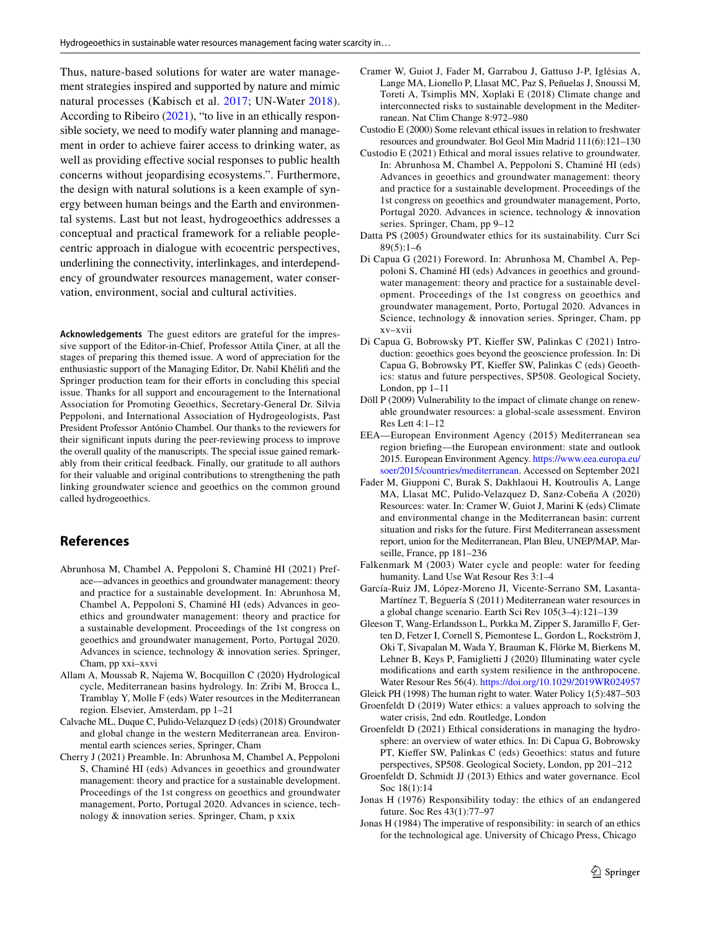Thus, nature-based solutions for water are water management strategies inspired and supported by nature and mimic natural processes (Kabisch et al. [2017;](#page-3-15) UN-Water [2018](#page-3-16)). According to Ribeiro [\(2021](#page-3-17)), "to live in an ethically responsible society, we need to modify water planning and management in order to achieve fairer access to drinking water, as well as providing efective social responses to public health concerns without jeopardising ecosystems.". Furthermore, the design with natural solutions is a keen example of synergy between human beings and the Earth and environmental systems. Last but not least, hydrogeoethics addresses a conceptual and practical framework for a reliable peoplecentric approach in dialogue with ecocentric perspectives, underlining the connectivity, interlinkages, and interdependency of groundwater resources management, water conservation, environment, social and cultural activities.

**Acknowledgements** The guest editors are grateful for the impressive support of the Editor-in-Chief, Professor Attila Çiner, at all the stages of preparing this themed issue. A word of appreciation for the enthusiastic support of the Managing Editor, Dr. Nabil Khélif and the Springer production team for their efforts in concluding this special issue. Thanks for all support and encouragement to the International Association for Promoting Geoethics, Secretary-General Dr. Silvia Peppoloni, and International Association of Hydrogeologists, Past President Professor António Chambel. Our thanks to the reviewers for their signifcant inputs during the peer-reviewing process to improve the overall quality of the manuscripts. The special issue gained remarkably from their critical feedback. Finally, our gratitude to all authors for their valuable and original contributions to strengthening the path linking groundwater science and geoethics on the common ground called hydrogeoethics.

## **References**

- <span id="page-2-15"></span>Abrunhosa M, Chambel A, Peppoloni S, Chaminé HI (2021) Preface—advances in geoethics and groundwater management: theory and practice for a sustainable development. In: Abrunhosa M, Chambel A, Peppoloni S, Chaminé HI (eds) Advances in geoethics and groundwater management: theory and practice for a sustainable development. Proceedings of the 1st congress on geoethics and groundwater management, Porto, Portugal 2020. Advances in science, technology & innovation series. Springer, Cham, pp xxi–xxvi
- <span id="page-2-1"></span>Allam A, Moussab R, Najema W, Bocquillon C (2020) Hydrological cycle, Mediterranean basins hydrology. In: Zribi M, Brocca L, Tramblay Y, Molle F (eds) Water resources in the Mediterranean region. Elsevier, Amsterdam, pp 1–21
- <span id="page-2-3"></span>Calvache ML, Duque C, Pulido-Velazquez D (eds) (2018) Groundwater and global change in the western Mediterranean area. Environmental earth sciences series, Springer, Cham
- <span id="page-2-18"></span>Cherry J (2021) Preamble. In: Abrunhosa M, Chambel A, Peppoloni S, Chaminé HI (eds) Advances in geoethics and groundwater management: theory and practice for a sustainable development. Proceedings of the 1st congress on geoethics and groundwater management, Porto, Portugal 2020. Advances in science, technology & innovation series. Springer, Cham, p xxix
- <span id="page-2-6"></span>Cramer W, Guiot J, Fader M, Garrabou J, Gattuso J-P, Iglésias A, Lange MA, Lionello P, Llasat MC, Paz S, Peñuelas J, Snoussi M, Toreti A, Tsimplis MN, Xoplaki E (2018) Climate change and interconnected risks to sustainable development in the Mediterranean. Nat Clim Change 8:972–980
- <span id="page-2-9"></span>Custodio E (2000) Some relevant ethical issues in relation to freshwater resources and groundwater. Bol Geol Min Madrid 111(6):121–130
- <span id="page-2-14"></span>Custodio E (2021) Ethical and moral issues relative to groundwater. In: Abrunhosa M, Chambel A, Peppoloni S, Chaminé HI (eds) Advances in geoethics and groundwater management: theory and practice for a sustainable development. Proceedings of the 1st congress on geoethics and groundwater management, Porto, Portugal 2020. Advances in science, technology & innovation series. Springer, Cham, pp 9–12
- <span id="page-2-7"></span>Datta PS (2005) Groundwater ethics for its sustainability. Curr Sci  $89(5):1–6$
- <span id="page-2-13"></span>Di Capua G (2021) Foreword. In: Abrunhosa M, Chambel A, Peppoloni S, Chaminé HI (eds) Advances in geoethics and groundwater management: theory and practice for a sustainable development. Proceedings of the 1st congress on geoethics and groundwater management, Porto, Portugal 2020. Advances in Science, technology & innovation series. Springer, Cham, pp xv–xvii
- <span id="page-2-12"></span>Di Capua G, Bobrowsky PT, Kiefer SW, Palinkas C (2021) Introduction: geoethics goes beyond the geoscience profession. In: Di Capua G, Bobrowsky PT, Kiefer SW, Palinkas C (eds) Geoethics: status and future perspectives, SP508. Geological Society, London, pp 1–11
- <span id="page-2-5"></span>Döll P (2009) Vulnerability to the impact of climate change on renewable groundwater resources: a global-scale assessment. Environ Res Lett 4:1–12
- <span id="page-2-0"></span>EEA—European Environment Agency (2015) Mediterranean sea region briefng—the European environment: state and outlook 2015. European Environment Agency. [https://www.eea.europa.eu/](https://www.eea.europa.eu/soer/2015/countries/mediterranean) [soer/2015/countries/mediterranean.](https://www.eea.europa.eu/soer/2015/countries/mediterranean) Accessed on September 2021
- <span id="page-2-4"></span>Fader M, Giupponi C, Burak S, Dakhlaoui H, Koutroulis A, Lange MA, Llasat MC, Pulido-Velazquez D, Sanz-Cobeña A (2020) Resources: water. In: Cramer W, Guiot J, Marini K (eds) Climate and environmental change in the Mediterranean basin: current situation and risks for the future. First Mediterranean assessment report, union for the Mediterranean, Plan Bleu, UNEP/MAP, Marseille, France, pp 181–236
- <span id="page-2-20"></span>Falkenmark M (2003) Water cycle and people: water for feeding humanity. Land Use Wat Resour Res 3:1–4
- <span id="page-2-2"></span>García-Ruiz JM, López-Moreno JI, Vicente-Serrano SM, Lasanta-Martínez T, Beguería S (2011) Mediterranean water resources in a global change scenario. Earth Sci Rev 105(3–4):121–139
- <span id="page-2-21"></span>Gleeson T, Wang-Erlandsson L, Porkka M, Zipper S, Jaramillo F, Gerten D, Fetzer I, Cornell S, Piemontese L, Gordon L, Rockström J, Oki T, Sivapalan M, Wada Y, Brauman K, Flörke M, Bierkens M, Lehner B, Keys P, Famiglietti J (2020) Illuminating water cycle modifcations and earth system resilience in the anthropocene. Water Resour Res 56(4).<https://doi.org/10.1029/2019WR024957>
- <span id="page-2-19"></span>Gleick PH (1998) The human right to water. Water Policy 1(5):487–503
- <span id="page-2-11"></span>Groenfeldt D (2019) Water ethics: a values approach to solving the water crisis, 2nd edn. Routledge, London
- <span id="page-2-8"></span>Groenfeldt D (2021) Ethical considerations in managing the hydrosphere: an overview of water ethics. In: Di Capua G, Bobrowsky PT, Kiefer SW, Palinkas C (eds) Geoethics: status and future perspectives, SP508. Geological Society, London, pp 201–212
- <span id="page-2-10"></span>Groenfeldt D, Schmidt JJ (2013) Ethics and water governance. Ecol Soc 18(1):14
- <span id="page-2-16"></span>Jonas H (1976) Responsibility today: the ethics of an endangered future. Soc Res 43(1):77–97
- <span id="page-2-17"></span>Jonas H (1984) The imperative of responsibility: in search of an ethics for the technological age. University of Chicago Press, Chicago